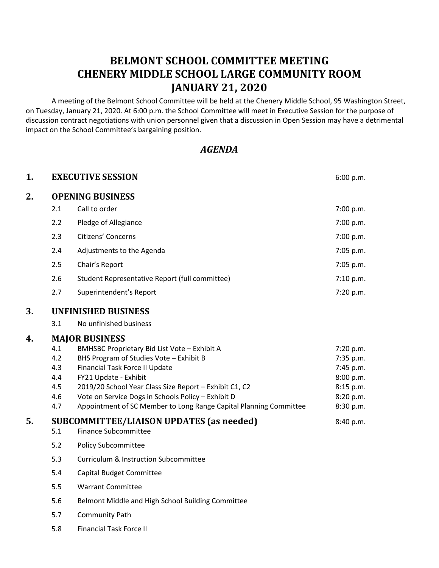# **BELMONT SCHOOL COMMITTEE MEETING CHENERY MIDDLE SCHOOL LARGE COMMUNITY ROOM JANUARY 21, 2020**

A meeting of the Belmont School Committee will be held at the Chenery Middle School, 95 Washington Street, on Tuesday, January 21, 2020. At 6:00 p.m. the School Committee will meet in Executive Session for the purpose of discussion contract negotiations with union personnel given that a discussion in Open Session may have a detrimental impact on the School Committee's bargaining position.

## *AGENDA*

|                                        |                                                                                                                                                                                                                    | 6:00 p.m.                                                                                                                                                                                                                                                                          |
|----------------------------------------|--------------------------------------------------------------------------------------------------------------------------------------------------------------------------------------------------------------------|------------------------------------------------------------------------------------------------------------------------------------------------------------------------------------------------------------------------------------------------------------------------------------|
|                                        |                                                                                                                                                                                                                    |                                                                                                                                                                                                                                                                                    |
| 2.1                                    | Call to order                                                                                                                                                                                                      | 7:00 p.m.                                                                                                                                                                                                                                                                          |
| 2.2                                    | Pledge of Allegiance                                                                                                                                                                                               | 7:00 p.m.                                                                                                                                                                                                                                                                          |
| 2.3                                    | Citizens' Concerns                                                                                                                                                                                                 | 7:00 p.m.                                                                                                                                                                                                                                                                          |
| 2.4                                    | Adjustments to the Agenda                                                                                                                                                                                          | 7:05 p.m.                                                                                                                                                                                                                                                                          |
| 2.5                                    | Chair's Report                                                                                                                                                                                                     | 7:05 p.m.                                                                                                                                                                                                                                                                          |
| 2.6                                    | Student Representative Report (full committee)                                                                                                                                                                     | 7:10 p.m.                                                                                                                                                                                                                                                                          |
| 2.7                                    | Superintendent's Report                                                                                                                                                                                            | 7:20 p.m.                                                                                                                                                                                                                                                                          |
|                                        |                                                                                                                                                                                                                    |                                                                                                                                                                                                                                                                                    |
| 3.1                                    | No unfinished business                                                                                                                                                                                             |                                                                                                                                                                                                                                                                                    |
|                                        |                                                                                                                                                                                                                    |                                                                                                                                                                                                                                                                                    |
| 4.1<br>4.2<br>4.3<br>4.4<br>4.5<br>4.6 | BHS Program of Studies Vote - Exhibit B<br>Financial Task Force II Update<br>FY21 Update - Exhibit<br>2019/20 School Year Class Size Report - Exhibit C1, C2<br>Vote on Service Dogs in Schools Policy - Exhibit D | 7:20 p.m.<br>7:35 p.m.<br>7:45 p.m.<br>8:00 p.m.<br>8:15 p.m.<br>8:20 p.m.<br>8:30 p.m.                                                                                                                                                                                            |
|                                        |                                                                                                                                                                                                                    | 8:40 p.m.                                                                                                                                                                                                                                                                          |
| 5.1                                    | <b>Finance Subcommittee</b>                                                                                                                                                                                        |                                                                                                                                                                                                                                                                                    |
| 5.2                                    | <b>Policy Subcommittee</b>                                                                                                                                                                                         |                                                                                                                                                                                                                                                                                    |
| 5.3                                    | <b>Curriculum &amp; Instruction Subcommittee</b>                                                                                                                                                                   |                                                                                                                                                                                                                                                                                    |
| 5.4                                    | <b>Capital Budget Committee</b>                                                                                                                                                                                    |                                                                                                                                                                                                                                                                                    |
| 5.5                                    | <b>Warrant Committee</b>                                                                                                                                                                                           |                                                                                                                                                                                                                                                                                    |
| 5.6                                    | Belmont Middle and High School Building Committee                                                                                                                                                                  |                                                                                                                                                                                                                                                                                    |
| 5.7                                    | Community Path                                                                                                                                                                                                     |                                                                                                                                                                                                                                                                                    |
| 5.8                                    | <b>Financial Task Force II</b>                                                                                                                                                                                     |                                                                                                                                                                                                                                                                                    |
|                                        | 4.7                                                                                                                                                                                                                | <b>EXECUTIVE SESSION</b><br><b>OPENING BUSINESS</b><br><b>UNFINISHED BUSINESS</b><br><b>MAJOR BUSINESS</b><br>BMHSBC Proprietary Bid List Vote - Exhibit A<br>Appointment of SC Member to Long Range Capital Planning Committee<br><b>SUBCOMMITTEE/LIAISON UPDATES (as needed)</b> |